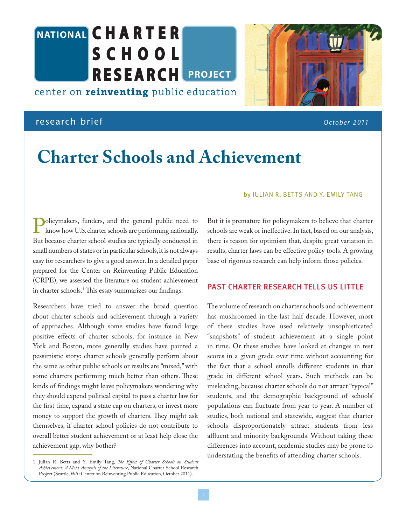# NATIONAL CHARTER **SCHOOL RESEARCH PROJECT**

center on **reinventing** public education

## research brief *October 2011*

## **Charter Schools and Achievement**

#### by JULIAN R. BETTS AND Y. EMILY TANG

**Policymakers, funders, and the general public need to<br>know how U.S. charter schools are performing nationally.**<br>But because charter school studies are typically conducted in know how U.S. charter schools are performing nationally. But because charter school studies are typically conducted in small numbers of states or in particular schools, it is not always easy for researchers to give a good answer. In a detailed paper prepared for the Center on Reinventing Public Education (CRPE), we assessed the literature on student achievement in charter schools.1 This essay summarizes our findings.

Researchers have tried to answer the broad question about charter schools and achievement through a variety of approaches. Although some studies have found large positive effects of charter schools, for instance in New York and Boston, more generally studies have painted a pessimistic story: charter schools generally perform about the same as other public schools or results are "mixed," with some charters performing much better than others. These kinds of findings might leave policymakers wondering why they should expend political capital to pass a charter law for the first time, expand a state cap on charters, or invest more money to support the growth of charters. They might ask themselves, if charter school policies do not contribute to overall better student achievement or at least help close the achievement gap, why bother?

1. Julian R. Betts and Y. Emily Tang, *The Effect of Charter Schools on Student Achievement: A Meta-Analysis of the Literature*, National Charter School Research Project (Seattle, WA: Center on Reinventing Public Education, October 2011).

But it is premature for policymakers to believe that charter schools are weak or ineffective. In fact, based on our analysis, there is reason for optimism that, despite great variation in results, charter laws can be effective policy tools. A growing base of rigorous research can help inform those policies.

### PAST CHARTER RESEARCH TELLS US LITTLE

The volume of research on charter schools and achievement has mushroomed in the last half decade. However, most of these studies have used relatively unsophisticated "snapshots" of student achievement at a single point in time. Or these studies have looked at changes in test scores in a given grade over time without accounting for the fact that a school enrolls different students in that grade in different school years. Such methods can be misleading, because charter schools do not attract "typical" students, and the demographic background of schools' populations can fluctuate from year to year. A number of studies, both national and statewide, suggest that charter schools disproportionately attract students from less affluent and minority backgrounds. Without taking these differences into account, academic studies may be prone to understating the benefits of attending charter schools.

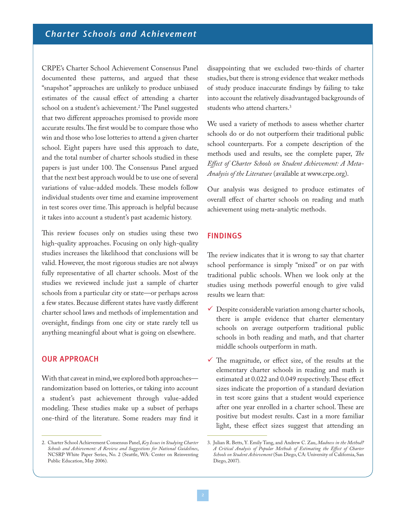CRPE's Charter School Achievement Consensus Panel documented these patterns, and argued that these "snapshot" approaches are unlikely to produce unbiased estimates of the causal effect of attending a charter school on a student's achievement.2 The Panel suggested that two different approaches promised to provide more accurate results. The first would be to compare those who win and those who lose lotteries to attend a given charter school. Eight papers have used this approach to date, and the total number of charter schools studied in these papers is just under 100. The Consensus Panel argued that the next best approach would be to use one of several variations of value-added models. These models follow individual students over time and examine improvement in test scores over time. This approach is helpful because it takes into account a student's past academic history.

This review focuses only on studies using these two high-quality approaches. Focusing on only high-quality studies increases the likelihood that conclusions will be valid. However, the most rigorous studies are not always fully representative of all charter schools. Most of the studies we reviewed include just a sample of charter schools from a particular city or state—or perhaps across a few states. Because different states have vastly different charter school laws and methods of implementation and oversight, findings from one city or state rarely tell us anything meaningful about what is going on elsewhere.

### OUR APPROACH

With that caveat in mind, we explored both approaches randomization based on lotteries, or taking into account a student's past achievement through value-added modeling. These studies make up a subset of perhaps one-third of the literature. Some readers may find it disappointing that we excluded two-thirds of charter studies, but there is strong evidence that weaker methods of study produce inaccurate findings by failing to take into account the relatively disadvantaged backgrounds of students who attend charters.3

We used a variety of methods to assess whether charter schools do or do not outperform their traditional public school counterparts. For a compete description of the methods used and results, see the complete paper, *The Effect of Charter Schools on Student Achievement: A Meta-Analysis of the Literature* (available at www.crpe.org).

Our analysis was designed to produce estimates of overall effect of charter schools on reading and math achievement using meta-analytic methods.

#### FINDINGS

The review indicates that it is wrong to say that charter school performance is simply "mixed" or on par with traditional public schools. When we look only at the studies using methods powerful enough to give valid results we learn that:

- $\checkmark$  Despite considerable variation among charter schools, there is ample evidence that charter elementary schools on average outperform traditional public schools in both reading and math, and that charter middle schools outperform in math.
- $\checkmark$  The magnitude, or effect size, of the results at the elementary charter schools in reading and math is estimated at 0.022 and 0.049 respectively. These effect sizes indicate the proportion of a standard deviation in test score gains that a student would experience after one year enrolled in a charter school. These are positive but modest results. Cast in a more familiar light, these effect sizes suggest that attending an

<sup>2.</sup> Charter School Achievement Consensus Panel, *Key Issues in Studying Charter Schools and Achievement: A Review and Suggestions for National Guidelines*, NCSRP White Paper Series, No. 2 (Seattle, WA: Center on Reinventing Public Education, May 2006).

<sup>3.</sup> Julian R. Betts, Y. Emily Tang, and Andrew C. Zau, *Madness in the Method? A Critical Analysis of Popular Methods of Estimating the Effect of Charter Schools on Student Achievement* (San Diego, CA: University of California, San Diego, 2007).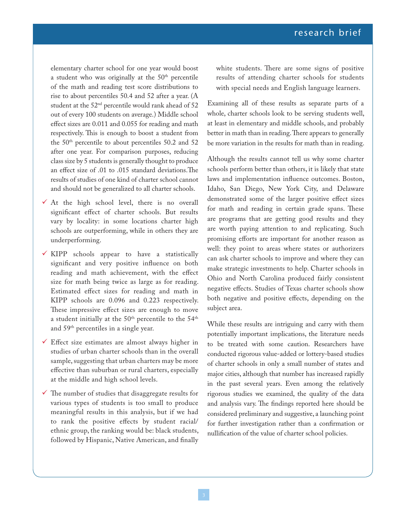elementary charter school for one year would boost a student who was originally at the 50<sup>th</sup> percentile of the math and reading test score distributions to rise to about percentiles 50.4 and 52 after a year. (A student at the 52nd percentile would rank ahead of 52 out of every 100 students on average.) Middle school effect sizes are 0.011 and 0.055 for reading and math respectively. This is enough to boost a student from the 50th percentile to about percentiles 50.2 and 52 after one year. For comparison purposes, reducing class size by 5 students is generally thought to produce an effect size of .01 to .015 standard deviations.The results of studies of one kind of charter school cannot and should not be generalized to all charter schools.

- $\checkmark$  At the high school level, there is no overall significant effect of charter schools. But results vary by locality: in some locations charter high schools are outperforming, while in others they are underperforming.
- $\checkmark$  KIPP schools appear to have a statistically significant and very positive influence on both reading and math achievement, with the effect size for math being twice as large as for reading. Estimated effect sizes for reading and math in KIPP schools are 0.096 and 0.223 respectively. These impressive effect sizes are enough to move a student initially at the  $50<sup>th</sup>$  percentile to the  $54<sup>th</sup>$ and 59th percentiles in a single year.
- $\checkmark$  Effect size estimates are almost always higher in studies of urban charter schools than in the overall sample, suggesting that urban charters may be more effective than suburban or rural charters, especially at the middle and high school levels.
- $\checkmark$  The number of studies that disaggregate results for various types of students is too small to produce meaningful results in this analysis, but if we had to rank the positive effects by student racial/ ethnic group, the ranking would be: black students, followed by Hispanic, Native American, and finally

white students. There are some signs of positive results of attending charter schools for students with special needs and English language learners.

Examining all of these results as separate parts of a whole, charter schools look to be serving students well, at least in elementary and middle schools, and probably better in math than in reading. There appears to generally be more variation in the results for math than in reading.

Although the results cannot tell us why some charter schools perform better than others, it is likely that state laws and implementation influence outcomes. Boston, Idaho, San Diego, New York City, and Delaware demonstrated some of the larger positive effect sizes for math and reading in certain grade spans. These are programs that are getting good results and they are worth paying attention to and replicating. Such promising efforts are important for another reason as well: they point to areas where states or authorizers can ask charter schools to improve and where they can make strategic investments to help. Charter schools in Ohio and North Carolina produced fairly consistent negative effects. Studies of Texas charter schools show both negative and positive effects, depending on the subject area.

While these results are intriguing and carry with them potentially important implications, the literature needs to be treated with some caution. Researchers have conducted rigorous value-added or lottery-based studies of charter schools in only a small number of states and major cities, although that number has increased rapidly in the past several years. Even among the relatively rigorous studies we examined, the quality of the data and analysis vary. The findings reported here should be considered preliminary and suggestive, a launching point for further investigation rather than a confirmation or nullification of the value of charter school policies.